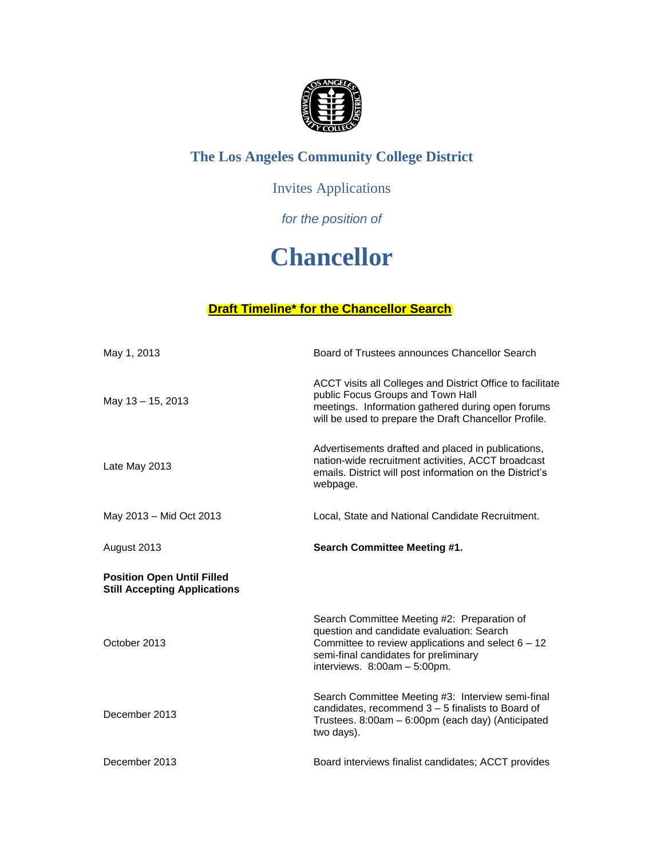

## **The Los Angeles Community College District**

## Invites Applications

### *for the position of*

# **Chancellor**

#### **Draft Timeline\* for the Chancellor Search**

| May 1, 2013                                                              | Board of Trustees announces Chancellor Search                                                                                                                                                                             |
|--------------------------------------------------------------------------|---------------------------------------------------------------------------------------------------------------------------------------------------------------------------------------------------------------------------|
| May 13 - 15, 2013                                                        | ACCT visits all Colleges and District Office to facilitate<br>public Focus Groups and Town Hall<br>meetings. Information gathered during open forums<br>will be used to prepare the Draft Chancellor Profile.             |
| Late May 2013                                                            | Advertisements drafted and placed in publications,<br>nation-wide recruitment activities, ACCT broadcast<br>emails. District will post information on the District's<br>webpage.                                          |
| May 2013 - Mid Oct 2013                                                  | Local, State and National Candidate Recruitment.                                                                                                                                                                          |
| August 2013                                                              | <b>Search Committee Meeting #1.</b>                                                                                                                                                                                       |
| <b>Position Open Until Filled</b><br><b>Still Accepting Applications</b> |                                                                                                                                                                                                                           |
| October 2013                                                             | Search Committee Meeting #2: Preparation of<br>question and candidate evaluation: Search<br>Committee to review applications and select $6 - 12$<br>semi-final candidates for preliminary<br>interviews. 8:00am - 5:00pm. |
| December 2013                                                            | Search Committee Meeting #3: Interview semi-final<br>candidates, recommend $3 - 5$ finalists to Board of<br>Trustees. 8:00am - 6:00pm (each day) (Anticipated<br>two days).                                               |
| December 2013                                                            | Board interviews finalist candidates; ACCT provides                                                                                                                                                                       |